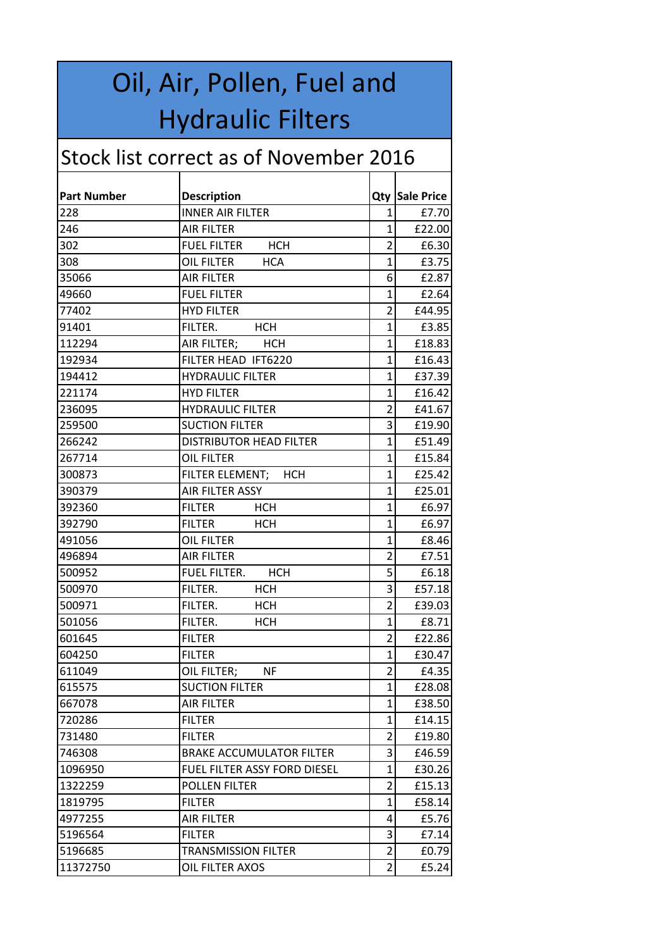| Oil, Air, Pollen, Fuel and             |                                  |                |                |
|----------------------------------------|----------------------------------|----------------|----------------|
| <b>Hydraulic Filters</b>               |                                  |                |                |
| Stock list correct as of November 2016 |                                  |                |                |
| <b>Part Number</b>                     | <b>Description</b>               |                | Qty Sale Price |
| 228                                    | <b>INNER AIR FILTER</b>          | $\mathbf{1}$   | £7.70          |
| 246                                    | <b>AIR FILTER</b>                | $\mathbf{1}$   | £22.00         |
| 302                                    | <b>HCH</b><br><b>FUEL FILTER</b> | $\overline{2}$ | £6.30          |
| 308                                    | OIL FILTER<br><b>HCA</b>         | 1              | £3.75          |
| 35066                                  | <b>AIR FILTER</b>                | 6              | £2.87          |
| 49660                                  | <b>FUEL FILTER</b>               | 1              | £2.64          |
| 77402                                  | <b>HYD FILTER</b>                | 2              | £44.95         |
| 91401                                  | FILTER.<br>нсн                   | $\mathbf{1}$   | £3.85          |
| 112294                                 | AIR FILTER;<br><b>HCH</b>        | 1              | £18.83         |
| 192934                                 | FILTER HEAD IFT6220              | $\mathbf{1}$   | £16.43         |
| 194412                                 | <b>HYDRAULIC FILTER</b>          | 1              | £37.39         |
| 221174                                 | <b>HYD FILTER</b>                | $\mathbf{1}$   | £16.42         |
| 236095                                 | <b>HYDRAULIC FILTER</b>          | 2              | £41.67         |
| 259500                                 | <b>SUCTION FILTER</b>            | 3              | £19.90         |
| 266242                                 | <b>DISTRIBUTOR HEAD FILTER</b>   | 1              | £51.49         |
| 267714                                 | OIL FILTER                       | $\mathbf{1}$   | £15.84         |
| 300873                                 | FILTER ELEMENT; HCH              | $\mathbf{1}$   | £25.42         |
| 390379                                 | <b>AIR FILTER ASSY</b>           | $\mathbf{1}$   | £25.01         |
| 392360                                 | <b>FILTER</b><br><b>HCH</b>      | $\mathbf{1}$   | £6.97          |
| 392790                                 | <b>FILTER</b><br>нсн             | 1              | £6.97          |
| 491056                                 | OIL FILTER                       | $\mathbf{1}$   | £8.46          |
| 496894                                 | <b>AIR FILTER</b>                | $\overline{2}$ | £7.51          |
| 500952                                 | FUEL FILTER.<br>HCH              | 5              | £6.18          |
| 500970                                 | FILTER.<br><b>HCH</b>            | 3              | £57.18         |
| 500971                                 | FILTER.<br><b>HCH</b>            | 2              | £39.03         |
| 501056                                 | FILTER.<br><b>HCH</b>            | $\mathbf{1}$   | £8.71          |
| 601645                                 | <b>FILTER</b>                    | 2              | £22.86         |
| 604250                                 | <b>FILTER</b>                    | 1              | £30.47         |
| 611049                                 | OIL FILTER;<br>NF                | 2              | £4.35          |
| 615575                                 | <b>SUCTION FILTER</b>            | 1              | £28.08         |
| 667078                                 | <b>AIR FILTER</b>                | $\mathbf{1}$   | £38.50         |
| 720286                                 | <b>FILTER</b>                    | 1              | £14.15         |
| 731480                                 | <b>FILTER</b>                    | $\overline{2}$ | £19.80         |
| 746308                                 | <b>BRAKE ACCUMULATOR FILTER</b>  | 3              | £46.59         |
| 1096950                                | FUEL FILTER ASSY FORD DIESEL     | 1              | £30.26         |
| 1322259                                | <b>POLLEN FILTER</b>             | 2              | £15.13         |
| 1819795                                | <b>FILTER</b>                    | 1              | £58.14         |
| 4977255                                | <b>AIR FILTER</b>                | 4              | £5.76          |
| 5196564                                | <b>FILTER</b>                    | 3              | £7.14          |
| 5196685                                | <b>TRANSMISSION FILTER</b>       | $\overline{2}$ | £0.79          |
| 11372750                               | OIL FILTER AXOS                  | $\overline{2}$ | E5.24          |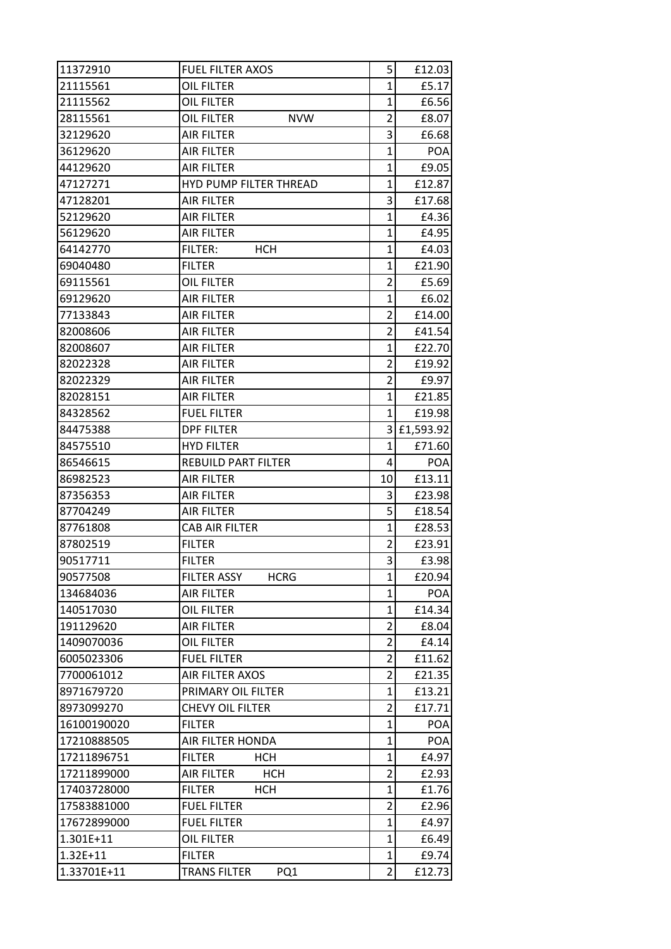| 11372910             | <b>FUEL FILTER AXOS</b>         | 5 <sup>1</sup> | £12.03               |
|----------------------|---------------------------------|----------------|----------------------|
| 21115561             | OIL FILTER                      | $\mathbf{1}$   | £5.17                |
| 21115562             | OIL FILTER                      | 1              | £6.56                |
| 28115561             | OIL FILTER<br><b>NVW</b>        | $\overline{2}$ | £8.07                |
| 32129620             | <b>AIR FILTER</b>               | 3              | £6.68                |
| 36129620             | <b>AIR FILTER</b>               | 1              | <b>POA</b>           |
| 44129620             | <b>AIR FILTER</b>               | 1              | £9.05                |
| 47127271             | <b>HYD PUMP FILTER THREAD</b>   | $\mathbf 1$    | £12.87               |
| 47128201             | <b>AIR FILTER</b>               | 3              | £17.68               |
| 52129620             | <b>AIR FILTER</b>               | 1              | £4.36                |
| 56129620             | <b>AIR FILTER</b>               | 1              | £4.95                |
| 64142770             | <b>FILTER:</b><br><b>HCH</b>    | $\mathbf{1}$   | £4.03                |
| 69040480             | <b>FILTER</b>                   | 1              | £21.90               |
| 69115561             | OIL FILTER                      | $\overline{2}$ | £5.69                |
| 69129620             | <b>AIR FILTER</b>               | 1              | £6.02                |
| 77133843             | <b>AIR FILTER</b>               | $\overline{2}$ | £14.00               |
| 82008606             | <b>AIR FILTER</b>               | $\overline{2}$ | £41.54               |
| 82008607             | <b>AIR FILTER</b>               | 1              | £22.70               |
| 82022328             | <b>AIR FILTER</b>               | $\overline{2}$ | £19.92               |
| 82022329             | <b>AIR FILTER</b>               | $\overline{2}$ | £9.97                |
| 82028151             | <b>AIR FILTER</b>               | $\mathbf{1}$   | £21.85               |
| 84328562             | <b>FUEL FILTER</b>              | 1              | £19.98               |
| 84475388             | <b>DPF FILTER</b>               |                | 3 £1,593.92          |
| 84575510             | <b>HYD FILTER</b>               | 1              |                      |
| 86546615             | <b>REBUILD PART FILTER</b>      | 4              | £71.60               |
|                      |                                 |                | <b>POA</b><br>£13.11 |
| 86982523<br>87356353 | AIR FILTER<br><b>AIR FILTER</b> | 10             |                      |
|                      |                                 | 3<br>5         | £23.98               |
| 87704249             | <b>AIR FILTER</b>               |                | £18.54               |
| 87761808             | CAB AIR FILTER                  | $\mathbf{1}$   | £28.53               |
| 87802519             | <b>FILTER</b>                   | $\overline{2}$ | £23.91               |
| 90517711             | <b>FILTER</b>                   | $\overline{3}$ | £3.98                |
| 90577508             | FILTER ASSY<br><b>HCRG</b>      | 1              | £20.94               |
| 134684036            |                                 |                |                      |
| 140517030            | <b>AIR FILTER</b>               | 1              | <b>POA</b>           |
|                      | OIL FILTER                      | 1              |                      |
| 191129620            | <b>AIR FILTER</b>               | $\overline{2}$ | £14.34<br>£8.04      |
| 1409070036           | OIL FILTER                      | 2              | £4.14                |
| 6005023306           | <b>FUEL FILTER</b>              | $\overline{2}$ | £11.62               |
| 7700061012           | AIR FILTER AXOS                 | $\overline{2}$ | £21.35               |
| 8971679720           | PRIMARY OIL FILTER              | $\mathbf{1}$   | £13.21               |
| 8973099270           | CHEVY OIL FILTER                | $\overline{2}$ | £17.71               |
| 16100190020          | <b>FILTER</b>                   | 1              | <b>POA</b>           |
| 17210888505          | AIR FILTER HONDA                | 1              | <b>POA</b>           |
| 17211896751          | <b>FILTER</b><br><b>HCH</b>     | $\mathbf 1$    | £4.97                |
| 17211899000          | AIR FILTER<br><b>HCH</b>        | $\overline{2}$ | £2.93                |
| 17403728000          | <b>FILTER</b><br>HCH            | 1              | £1.76                |
| 17583881000          | <b>FUEL FILTER</b>              | $\overline{2}$ | £2.96                |
| 17672899000          | <b>FUEL FILTER</b>              | 1              | £4.97                |
| 1.301E+11            | OIL FILTER                      | $\mathbf{1}$   | £6.49                |
| $1.32E + 11$         | <b>FILTER</b>                   | 1              | £9.74                |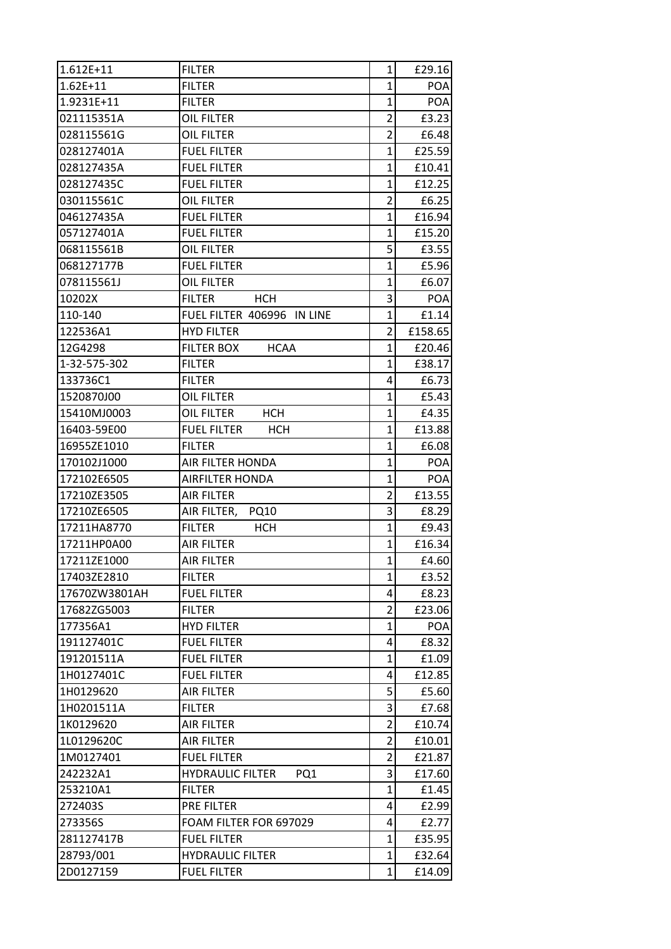| 1.612E+11     | <b>FILTER</b>                    | $\mathbf{1}$   | £29.16     |
|---------------|----------------------------------|----------------|------------|
| $1.62E + 11$  | <b>FILTER</b>                    | 1              | <b>POA</b> |
| 1.9231E+11    | <b>FILTER</b>                    | $\mathbf{1}$   | POA        |
| 021115351A    | <b>OIL FILTER</b>                | $\overline{2}$ | £3.23      |
| 028115561G    | OIL FILTER                       | 2              | £6.48      |
| 028127401A    | <b>FUEL FILTER</b>               | $\mathbf{1}$   | £25.59     |
| 028127435A    | <b>FUEL FILTER</b>               | 1              | £10.41     |
| 028127435C    | <b>FUEL FILTER</b>               | $\mathbf{1}$   | £12.25     |
| 030115561C    | <b>OIL FILTER</b>                | $\overline{2}$ | E6.25      |
| 046127435A    | <b>FUEL FILTER</b>               | $\mathbf{1}$   | £16.94     |
| 057127401A    | <b>FUEL FILTER</b>               | $\mathbf{1}$   | £15.20     |
| 068115561B    | OIL FILTER                       | 5              | £3.55      |
| 068127177B    | <b>FUEL FILTER</b>               | 1              | £5.96      |
| 078115561J    | OIL FILTER                       | 1              | £6.07      |
| 10202X        | <b>FILTER</b><br><b>HCH</b>      | 3              | POA        |
| 110-140       | FUEL FILTER 406996 IN LINE       | 1              | f1.14      |
| 122536A1      | <b>HYD FILTER</b>                | $\overline{2}$ | £158.65    |
| 12G4298       | <b>HCAA</b><br><b>FILTER BOX</b> | 1              | £20.46     |
| 1-32-575-302  | <b>FILTER</b>                    | $\mathbf{1}$   | £38.17     |
| 133736C1      | <b>FILTER</b>                    | 4              | £6.73      |
| 1520870J00    | OIL FILTER                       | 1              | £5.43      |
| 15410MJ0003   | <b>OIL FILTER</b><br><b>HCH</b>  | 1              | £4.35      |
| 16403-59E00   | <b>FUEL FILTER</b><br><b>HCH</b> | $\mathbf{1}$   | £13.88     |
| 16955ZE1010   | <b>FILTER</b>                    | $\mathbf{1}$   | £6.08      |
| 170102J1000   | AIR FILTER HONDA                 | $\mathbf{1}$   | POA        |
| 172102E6505   | <b>AIRFILTER HONDA</b>           | $\mathbf{1}$   | POA        |
| 17210ZE3505   | <b>AIR FILTER</b>                | $\overline{2}$ | £13.55     |
| 17210ZE6505   | AIR FILTER,<br><b>PQ10</b>       | 3              | £8.29      |
| 17211HA8770   | <b>FILTER</b><br><b>HCH</b>      | 1              | E9.43      |
| 17211HP0A00   | <b>AIR FILTER</b>                | 1              | £16.34     |
| 17211ZE1000   | <b>AIR FILTER</b>                | $\mathbf{1}$   | £4.60      |
| 17403ZE2810   | <b>FILTER</b>                    | 1              | £3.52      |
| 17670ZW3801AH | <b>FUEL FILTER</b>               | 4              | £8.23      |
| 17682ZG5003   | <b>FILTER</b>                    | $\overline{2}$ | £23.06     |
| 177356A1      | <b>HYD FILTER</b>                | 1              | <b>POA</b> |
| 191127401C    | <b>FUEL FILTER</b>               | 4              | £8.32      |
| 191201511A    | <b>FUEL FILTER</b>               | 1              | £1.09      |
| 1H0127401C    | <b>FUEL FILTER</b>               | 4              | £12.85     |
| 1H0129620     | <b>AIR FILTER</b>                | 5              | £5.60      |
| 1H0201511A    | <b>FILTER</b>                    | 3              | £7.68      |
| 1K0129620     | <b>AIR FILTER</b>                | $\overline{2}$ | £10.74     |
| 1L0129620C    | <b>AIR FILTER</b>                | $\overline{2}$ | £10.01     |
| 1M0127401     | <b>FUEL FILTER</b>               | $\overline{2}$ | £21.87     |
| 242232A1      | <b>HYDRAULIC FILTER</b><br>PQ1   | 3              | £17.60     |
| 253210A1      | <b>FILTER</b>                    | 1              | £1.45      |
| 272403S       | PRE FILTER                       | 4              | £2.99      |
| 273356S       | FOAM FILTER FOR 697029           | 4              | £2.77      |
| 281127417B    | <b>FUEL FILTER</b>               | 1              | £35.95     |
| 28793/001     | <b>HYDRAULIC FILTER</b>          | 1              | £32.64     |
| 2D0127159     | <b>FUEL FILTER</b>               | 1              | £14.09     |
|               |                                  |                |            |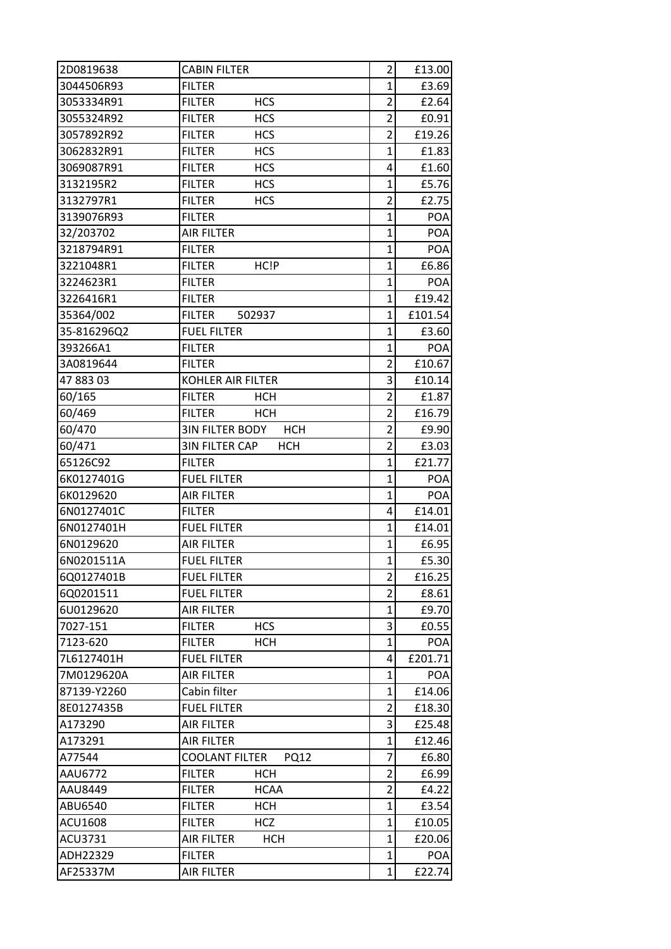| 2D0819638      | <b>CABIN FILTER</b>                  | $\overline{2}$ | £13.00     |
|----------------|--------------------------------------|----------------|------------|
| 3044506R93     | <b>FILTER</b>                        | 1              | £3.69      |
| 3053334R91     | <b>FILTER</b><br><b>HCS</b>          | $\overline{2}$ | £2.64      |
| 3055324R92     | <b>HCS</b><br><b>FILTER</b>          | $\overline{2}$ | £0.91      |
| 3057892R92     | <b>FILTER</b><br><b>HCS</b>          | $\overline{2}$ | £19.26     |
| 3062832R91     | <b>FILTER</b><br><b>HCS</b>          | $\mathbf 1$    | £1.83      |
| 3069087R91     | <b>FILTER</b><br><b>HCS</b>          | 4              | £1.60      |
| 3132195R2      | <b>FILTER</b><br><b>HCS</b>          | 1              | £5.76      |
| 3132797R1      | <b>FILTER</b><br><b>HCS</b>          | $\overline{2}$ | £2.75      |
| 3139076R93     | <b>FILTER</b>                        | 1              | POA        |
| 32/203702      | <b>AIR FILTER</b>                    | $\mathbf 1$    | POA        |
| 3218794R91     | <b>FILTER</b>                        | $\mathbf 1$    | POA        |
| 3221048R1      | <b>FILTER</b><br>HC!P                | $\mathbf 1$    | £6.86      |
| 3224623R1      | <b>FILTER</b>                        | 1              | POA        |
| 3226416R1      | <b>FILTER</b>                        | 1              | £19.42     |
| 35364/002      | 502937<br><b>FILTER</b>              | $\overline{1}$ | £101.54    |
| 35-816296Q2    | <b>FUEL FILTER</b>                   | $\mathbf{1}$   | £3.60      |
| 393266A1       | <b>FILTER</b>                        | $\overline{1}$ | POA        |
| 3A0819644      | <b>FILTER</b>                        | $\overline{2}$ | £10.67     |
| 47 883 03      | <b>KOHLER AIR FILTER</b>             | 3              | £10.14     |
| 60/165         | <b>FILTER</b><br><b>HCH</b>          | $\overline{2}$ | £1.87      |
| 60/469         | <b>FILTER</b><br>HCH                 | $\overline{2}$ | £16.79     |
| 60/470         | <b>3IN FILTER BODY</b><br><b>HCH</b> | $\overline{2}$ | £9.90      |
| 60/471         | <b>3IN FILTER CAP</b><br><b>HCH</b>  | $\overline{2}$ | £3.03      |
| 65126C92       | <b>FILTER</b>                        | 1              | £21.77     |
| 6K0127401G     | <b>FUEL FILTER</b>                   | $\overline{1}$ | <b>POA</b> |
| 6K0129620      | <b>AIR FILTER</b>                    | $\mathbf 1$    | POA        |
| 6N0127401C     | <b>FILTER</b>                        | 4              | £14.01     |
| 6N0127401H     | <b>FUEL FILTER</b>                   | $\mathbf{1}$   | £14.01     |
| 6N0129620      | <b>AIR FILTER</b>                    | 1              | £6.95      |
| 6N0201511A     | <b>FUEL FILTER</b>                   | $\mathbf{1}$   | £5.30      |
| 6Q0127401B     | <b>FUEL FILTER</b>                   | $\overline{2}$ | £16.25     |
| 6Q0201511      | <b>FUEL FILTER</b>                   | $\overline{2}$ | £8.61      |
| 6U0129620      | <b>AIR FILTER</b>                    | 1              | £9.70      |
| 7027-151       | <b>FILTER</b><br><b>HCS</b>          | 3              | £0.55      |
| 7123-620       | <b>FILTER</b><br>HCH                 | 1              | <b>POA</b> |
| 7L6127401H     | <b>FUEL FILTER</b>                   | 4              | £201.71    |
| 7M0129620A     | <b>AIR FILTER</b>                    | 1              | <b>POA</b> |
| 87139-Y2260    | Cabin filter                         | $\mathbf{1}$   | £14.06     |
| 8E0127435B     | <b>FUEL FILTER</b>                   | $\overline{2}$ | £18.30     |
| A173290        | <b>AIR FILTER</b>                    | 3              | £25.48     |
| A173291        | <b>AIR FILTER</b>                    | 1              | £12.46     |
| A77544         | COOLANT FILTER<br><b>PQ12</b>        | 7              | £6.80      |
| AAU6772        | <b>FILTER</b><br>HCH                 | $\overline{2}$ | £6.99      |
| AAU8449        | <b>FILTER</b><br><b>HCAA</b>         | $\overline{2}$ | £4.22      |
| ABU6540        | <b>FILTER</b><br><b>HCH</b>          | 1              | £3.54      |
| <b>ACU1608</b> | <b>FILTER</b><br><b>HCZ</b>          | 1              | £10.05     |
| ACU3731        | <b>AIR FILTER</b><br><b>HCH</b>      | 1              | £20.06     |
| ADH22329       | <b>FILTER</b>                        | 1              | <b>POA</b> |
| AF25337M       | AIR FILTER                           | 1              | £22.74     |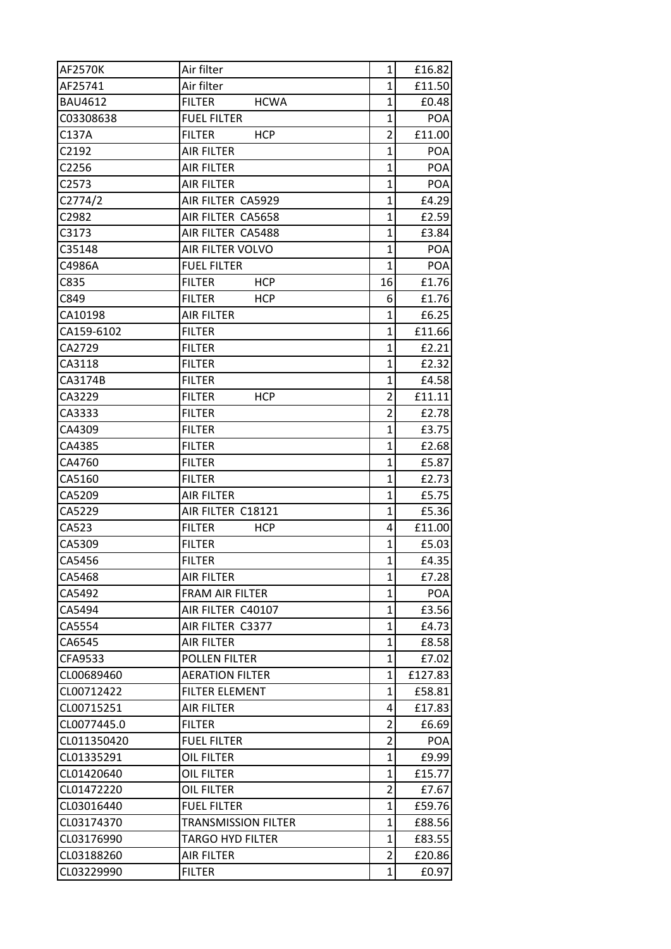| AF2570K        | Air filter                   | $\mathbf{1}$   | £16.82     |
|----------------|------------------------------|----------------|------------|
| AF25741        | Air filter                   | $\mathbf{1}$   | £11.50     |
| <b>BAU4612</b> | <b>FILTER</b><br><b>HCWA</b> | $\mathbf{1}$   | £0.48      |
| C03308638      | <b>FUEL FILTER</b>           | $\mathbf{1}$   | POA        |
| C137A          | <b>FILTER</b><br><b>HCP</b>  | $\overline{2}$ | £11.00     |
| C2192          | <b>AIR FILTER</b>            | $\mathbf{1}$   | POA        |
| C2256          | <b>AIR FILTER</b>            | 1              | POA        |
| C2573          | <b>AIR FILTER</b>            | $\mathbf{1}$   | POA        |
| C2774/2        | AIR FILTER CA5929            | $\mathbf{1}$   | £4.29      |
| C2982          | AIR FILTER CA5658            | $\mathbf{1}$   | £2.59      |
| C3173          | AIR FILTER CA5488            | 1              | £3.84      |
| C35148         | AIR FILTER VOLVO             | $\mathbf{1}$   | POA        |
| C4986A         | <b>FUEL FILTER</b>           | $\mathbf{1}$   | POA        |
| C835           | <b>FILTER</b><br><b>HCP</b>  | 16             | £1.76      |
| C849           | <b>FILTER</b><br><b>HCP</b>  | 6              | £1.76      |
| CA10198        | <b>AIR FILTER</b>            | $\mathbf{1}$   | £6.25      |
| CA159-6102     | <b>FILTER</b>                | 1              | £11.66     |
| CA2729         | <b>FILTER</b>                | $\mathbf{1}$   | £2.21      |
| CA3118         | <b>FILTER</b>                | $\mathbf{1}$   | £2.32      |
| CA3174B        | <b>FILTER</b>                | $\mathbf{1}$   | £4.58      |
| CA3229         | <b>FILTER</b><br><b>HCP</b>  | $\overline{2}$ | £11.11     |
| CA3333         | <b>FILTER</b>                | $\overline{2}$ | £2.78      |
| CA4309         | <b>FILTER</b>                | $\mathbf{1}$   | £3.75      |
| CA4385         | <b>FILTER</b>                | 1              | £2.68      |
| CA4760         | <b>FILTER</b>                | $\mathbf{1}$   | £5.87      |
| CA5160         | <b>FILTER</b>                | $\mathbf 1$    | £2.73      |
| CA5209         | <b>AIR FILTER</b>            | 1              | £5.75      |
| CA5229         | AIR FILTER C18121            | $\mathbf{1}$   | £5.36      |
| CA523          | <b>FILTER</b><br><b>HCP</b>  | 4              | £11.00     |
| CA5309         | <b>FILTER</b>                | 1              | £5.03      |
| CA5456         | <b>FILTER</b>                | $\mathbf{1}$   | £4.35      |
| CA5468         | <b>AIR FILTER</b>            | 1              | £7.28      |
| CA5492         | <b>FRAM AIR FILTER</b>       | 1              | <b>POA</b> |
| CA5494         | AIR FILTER C40107            | $\mathbf{1}$   | £3.56      |
| CA5554         | AIR FILTER C3377             | 1              | £4.73      |
| CA6545         | AIR FILTER                   | 1              | £8.58      |
| CFA9533        | POLLEN FILTER                | 1              | £7.02      |
| CL00689460     | <b>AERATION FILTER</b>       | 1              | £127.83    |
| CL00712422     | <b>FILTER ELEMENT</b>        | $\mathbf{1}$   | £58.81     |
| CL00715251     | <b>AIR FILTER</b>            | 4              | £17.83     |
| CL0077445.0    | <b>FILTER</b>                | $\overline{2}$ | £6.69      |
| CL011350420    | <b>FUEL FILTER</b>           | 2              | <b>POA</b> |
| CL01335291     | OIL FILTER                   | $\mathbf{1}$   | £9.99      |
| CL01420640     | <b>OIL FILTER</b>            | 1              | £15.77     |
| CL01472220     | OIL FILTER                   | 2              | £7.67      |
| CL03016440     | <b>FUEL FILTER</b>           | 1              | £59.76     |
| CL03174370     | <b>TRANSMISSION FILTER</b>   | 1              | £88.56     |
| CL03176990     | TARGO HYD FILTER             | $\mathbf{1}$   | £83.55     |
| CL03188260     | <b>AIR FILTER</b>            | $\overline{2}$ | £20.86     |
| CL03229990     | <b>FILTER</b>                | $\mathbf{1}$   | £0.97      |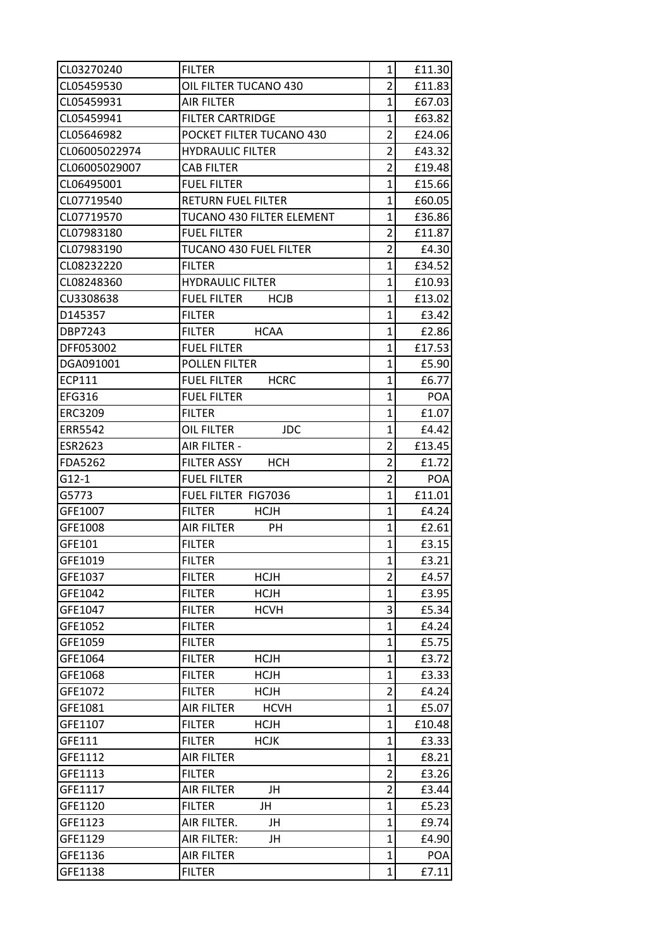| CL03270240     | <b>FILTER</b>                     | 1              | £11.30     |
|----------------|-----------------------------------|----------------|------------|
| CL05459530     | OIL FILTER TUCANO 430             | $\overline{2}$ | £11.83     |
| CL05459931     | <b>AIR FILTER</b>                 | $\mathbf{1}$   | £67.03     |
| CL05459941     | <b>FILTER CARTRIDGE</b>           | $\mathbf{1}$   | £63.82     |
| CL05646982     | POCKET FILTER TUCANO 430          | $\overline{2}$ | £24.06     |
| CL06005022974  | <b>HYDRAULIC FILTER</b>           | $\overline{2}$ | £43.32     |
| CL06005029007  | <b>CAB FILTER</b>                 | $\overline{2}$ | £19.48     |
| CL06495001     | <b>FUEL FILTER</b>                | $\mathbf{1}$   | £15.66     |
| CL07719540     | <b>RETURN FUEL FILTER</b>         | $\mathbf{1}$   | £60.05     |
| CL07719570     | TUCANO 430 FILTER ELEMENT         | $\mathbf{1}$   | £36.86     |
| CL07983180     | <b>FUEL FILTER</b>                | $\overline{2}$ | £11.87     |
| CL07983190     | TUCANO 430 FUEL FILTER            | $\overline{2}$ | £4.30      |
| CL08232220     | <b>FILTER</b>                     | $\mathbf{1}$   | £34.52     |
| CL08248360     | <b>HYDRAULIC FILTER</b>           | $\mathbf{1}$   | £10.93     |
| CU3308638      | <b>FUEL FILTER</b><br><b>HCJB</b> | $\mathbf{1}$   | £13.02     |
| D145357        | <b>FILTER</b>                     | $\mathbf{1}$   | £3.42      |
| DBP7243        | <b>FILTER</b><br><b>HCAA</b>      | $\overline{1}$ | £2.86      |
| DFF053002      | <b>FUEL FILTER</b>                | $\mathbf{1}$   | £17.53     |
| DGA091001      | POLLEN FILTER                     | $\overline{1}$ | £5.90      |
| ECP111         | <b>FUEL FILTER</b><br><b>HCRC</b> | $\overline{1}$ | £6.77      |
| EFG316         | <b>FUEL FILTER</b>                | $\mathbf{1}$   | <b>POA</b> |
| <b>ERC3209</b> | <b>FILTER</b>                     | $\overline{1}$ | £1.07      |
| ERR5542        | <b>OIL FILTER</b><br><b>JDC</b>   | $\overline{1}$ | £4.42      |
| ESR2623        | AIR FILTER -                      | $\overline{2}$ | £13.45     |
| FDA5262        | <b>FILTER ASSY</b><br><b>HCH</b>  | $\overline{2}$ | £1.72      |
| $G12-1$        | <b>FUEL FILTER</b>                | $\overline{2}$ | POA        |
| G5773          | FUEL FILTER FIG7036               | $\mathbf{1}$   | £11.01     |
| GFE1007        | <b>FILTER</b><br><b>HCJH</b>      | $\mathbf{1}$   | £4.24      |
| GFE1008        | AIR FILTER<br>PH                  | $\overline{1}$ | £2.61      |
| GFE101         | <b>FILTER</b>                     | $\mathbf{1}$   | £3.15      |
| GFE1019        | <b>FILTER</b>                     | $\mathbf{1}$   | f3.21      |
| GFE1037        | <b>FILTER</b><br><b>HCJH</b>      | $\overline{2}$ | £4.57      |
| GFE1042        | <b>FILTER</b><br><b>HCJH</b>      | 1              | £3.95      |
| GFE1047        | <b>FILTER</b><br><b>HCVH</b>      | 3              | £5.34      |
| GFE1052        | <b>FILTER</b>                     | $\mathbf{1}$   | £4.24      |
| GFE1059        | <b>FILTER</b>                     | $\mathbf{1}$   | £5.75      |
| GFE1064        | <b>HCJH</b><br><b>FILTER</b>      | $\mathbf 1$    | £3.72      |
| GFE1068        | <b>FILTER</b><br><b>HCJH</b>      | 1              | £3.33      |
| GFE1072        | <b>FILTER</b><br><b>HCJH</b>      | $\overline{2}$ | £4.24      |
| GFE1081        | <b>AIR FILTER</b><br><b>HCVH</b>  | 1              | £5.07      |
| GFE1107        | <b>FILTER</b><br><b>HCJH</b>      | $\mathbf{1}$   | £10.48     |
| GFE111         | <b>FILTER</b><br><b>HCJK</b>      | $\overline{1}$ | £3.33      |
| GFE1112        | <b>AIR FILTER</b>                 | 1              | £8.21      |
| GFE1113        | <b>FILTER</b>                     | $\overline{2}$ | £3.26      |
| GFE1117        | <b>AIR FILTER</b><br>JH           | $\overline{2}$ | £3.44      |
| GFE1120        | <b>FILTER</b><br>JH               | $\mathbf{1}$   | £5.23      |
| GFE1123        | AIR FILTER.<br>JH                 | 1              | £9.74      |
| GFE1129        | AIR FILTER:<br>JH                 | $\mathbf{1}$   | £4.90      |
| GFE1136        | <b>AIR FILTER</b>                 | $\mathbf{1}$   | <b>POA</b> |
| GFE1138        | <b>FILTER</b>                     | $\mathbf{1}$   | £7.11      |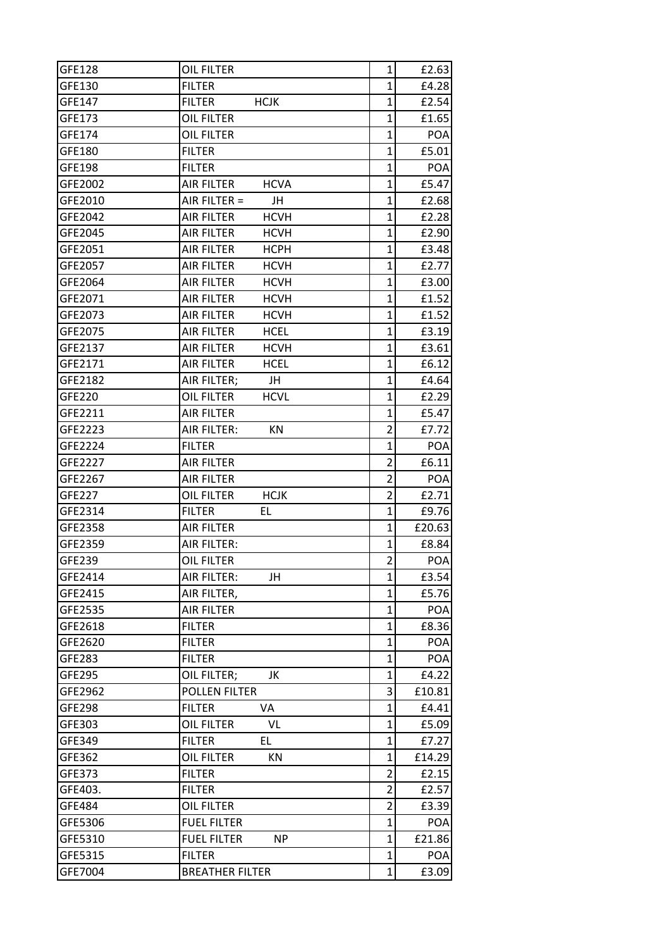| <b>FILTER</b><br>1<br>£4.28<br>GFE130<br><b>FILTER</b><br>GFE147<br><b>HCJK</b><br>$\mathbf{1}$<br>E2.54<br>£1.65<br>GFE173<br><b>OIL FILTER</b><br>$\mathbf{1}$<br>POA<br>GFE174<br><b>OIL FILTER</b><br>1<br><b>FILTER</b><br>$\mathbf{1}$<br>GFE180<br>£5.01<br>$\mathbf{1}$<br><b>FILTER</b><br><b>POA</b><br>GFE198<br>GFE2002<br><b>AIR FILTER</b><br>$\mathbf{1}$<br><b>HCVA</b><br>£5.47<br>$\mathbf{1}$<br>£2.68<br>GFE2010<br>AIR FILTER $=$<br>JH<br>GFE2042<br><b>AIR FILTER</b><br><b>HCVH</b><br>$\mathbf{1}$<br>£2.28<br>GFE2045<br><b>AIR FILTER</b><br><b>HCVH</b><br>$\mathbf{1}$<br>£2.90<br>$\mathbf{1}$<br>£3.48<br>GFE2051<br><b>AIR FILTER</b><br>HCPH<br>GFE2057<br><b>AIR FILTER</b><br>$\mathbf{1}$<br>£2.77<br><b>HCVH</b><br>$\mathbf{1}$<br>GFE2064<br><b>AIR FILTER</b><br>£3.00<br><b>HCVH</b><br>1<br>GFE2071<br><b>AIR FILTER</b><br><b>HCVH</b><br>£1.52<br>$\mathbf{1}$<br>£1.52<br>GFE2073<br><b>AIR FILTER</b><br><b>HCVH</b><br>1<br>GFE2075<br><b>AIR FILTER</b><br><b>HCEL</b><br>£3.19<br>$\mathbf{1}$<br>GFE2137<br><b>AIR FILTER</b><br>E3.61<br><b>HCVH</b><br>$\mathbf{1}$<br><b>AIR FILTER</b><br>GFE2171<br><b>HCEL</b><br>£6.12<br>$\mathbf{1}$<br>GFE2182<br>AIR FILTER;<br>JH<br>E4.64<br><b>HCVL</b><br>$\mathbf{1}$<br>£2.29<br>GFE220<br>OIL FILTER<br>GFE2211<br>$\overline{1}$<br><b>AIR FILTER</b><br>£5.47<br>$\overline{2}$<br>GFE2223<br>£7.72<br>AIR FILTER:<br>KN<br><b>FILTER</b><br>POA<br>GFE2224<br>1<br>$\overline{2}$<br>GFE2227<br><b>AIR FILTER</b><br>£6.11<br>$\overline{2}$<br>GFE2267<br><b>AIR FILTER</b><br><b>POA</b><br>$\overline{2}$<br>GFE227<br><b>OIL FILTER</b><br>E2.71<br><b>HCJK</b><br>$\mathbf{1}$<br>GFE2314<br><b>FILTER</b><br>EL<br>£9.76<br>1<br>GFE2358<br><b>AIR FILTER</b><br>£20.63<br>GFE2359<br>AIR FILTER:<br>1<br>$\overline{2}$<br>GFE239<br>OIL FILTER<br>GFE2414<br>AIR FILTER:<br>1<br>£3.54<br>JH<br>£5.76<br>GFE2415<br>AIR FILTER,<br>$\mathbf{1}$<br>GFE2535<br><b>AIR FILTER</b><br>$\mathbf{1}$<br>POA<br><b>FILTER</b><br>GFE2618<br>$\mathbf{1}$<br>£8.36<br>GFE2620<br><b>FILTER</b><br>POA<br>1<br><b>FILTER</b><br>GFE283<br>$\mathbf{1}$<br><b>POA</b><br>OIL FILTER;<br>JK<br>1<br>£4.22<br>GFE295<br>POLLEN FILTER<br>3<br>GFE2962<br>£10.81<br>£4.41<br>GFE298<br><b>FILTER</b><br>VA<br>1<br>GFE303<br>OIL FILTER<br>VL<br>1<br>£5.09<br><b>FILTER</b><br>EL.<br>1<br>GFE349<br>£7.27<br>GFE362<br>OIL FILTER<br>KN.<br>1<br>£14.29<br><b>FILTER</b><br>$\overline{2}$<br>GFE373<br>£2.15<br>2<br><b>FILTER</b><br>£2.57<br>GFE403.<br>GFE484<br><b>OIL FILTER</b><br>2<br>£3.39<br><b>FUEL FILTER</b><br>$\mathbf{1}$<br>POA<br>GFE5306<br>GFE5310<br><b>FUEL FILTER</b><br>$\mathbf{1}$<br>£21.86<br>NP.<br>GFE5315<br><b>FILTER</b><br>POA<br>1 | GFE128  | <b>OIL FILTER</b>      | $1\vert$ | £2.63 |
|-----------------------------------------------------------------------------------------------------------------------------------------------------------------------------------------------------------------------------------------------------------------------------------------------------------------------------------------------------------------------------------------------------------------------------------------------------------------------------------------------------------------------------------------------------------------------------------------------------------------------------------------------------------------------------------------------------------------------------------------------------------------------------------------------------------------------------------------------------------------------------------------------------------------------------------------------------------------------------------------------------------------------------------------------------------------------------------------------------------------------------------------------------------------------------------------------------------------------------------------------------------------------------------------------------------------------------------------------------------------------------------------------------------------------------------------------------------------------------------------------------------------------------------------------------------------------------------------------------------------------------------------------------------------------------------------------------------------------------------------------------------------------------------------------------------------------------------------------------------------------------------------------------------------------------------------------------------------------------------------------------------------------------------------------------------------------------------------------------------------------------------------------------------------------------------------------------------------------------------------------------------------------------------------------------------------------------------------------------------------------------------------------------------------------------------------------------------------------------------------------------------------------------------------------------------------------------------------------------------------------------------------------------------------------------------------------------------------------------------------------------------------------------|---------|------------------------|----------|-------|
|                                                                                                                                                                                                                                                                                                                                                                                                                                                                                                                                                                                                                                                                                                                                                                                                                                                                                                                                                                                                                                                                                                                                                                                                                                                                                                                                                                                                                                                                                                                                                                                                                                                                                                                                                                                                                                                                                                                                                                                                                                                                                                                                                                                                                                                                                                                                                                                                                                                                                                                                                                                                                                                                                                                                                                             |         |                        |          |       |
|                                                                                                                                                                                                                                                                                                                                                                                                                                                                                                                                                                                                                                                                                                                                                                                                                                                                                                                                                                                                                                                                                                                                                                                                                                                                                                                                                                                                                                                                                                                                                                                                                                                                                                                                                                                                                                                                                                                                                                                                                                                                                                                                                                                                                                                                                                                                                                                                                                                                                                                                                                                                                                                                                                                                                                             |         |                        |          |       |
| £8.84                                                                                                                                                                                                                                                                                                                                                                                                                                                                                                                                                                                                                                                                                                                                                                                                                                                                                                                                                                                                                                                                                                                                                                                                                                                                                                                                                                                                                                                                                                                                                                                                                                                                                                                                                                                                                                                                                                                                                                                                                                                                                                                                                                                                                                                                                                                                                                                                                                                                                                                                                                                                                                                                                                                                                                       |         |                        |          |       |
| <b>POA</b>                                                                                                                                                                                                                                                                                                                                                                                                                                                                                                                                                                                                                                                                                                                                                                                                                                                                                                                                                                                                                                                                                                                                                                                                                                                                                                                                                                                                                                                                                                                                                                                                                                                                                                                                                                                                                                                                                                                                                                                                                                                                                                                                                                                                                                                                                                                                                                                                                                                                                                                                                                                                                                                                                                                                                                  |         |                        |          |       |
|                                                                                                                                                                                                                                                                                                                                                                                                                                                                                                                                                                                                                                                                                                                                                                                                                                                                                                                                                                                                                                                                                                                                                                                                                                                                                                                                                                                                                                                                                                                                                                                                                                                                                                                                                                                                                                                                                                                                                                                                                                                                                                                                                                                                                                                                                                                                                                                                                                                                                                                                                                                                                                                                                                                                                                             |         |                        |          |       |
|                                                                                                                                                                                                                                                                                                                                                                                                                                                                                                                                                                                                                                                                                                                                                                                                                                                                                                                                                                                                                                                                                                                                                                                                                                                                                                                                                                                                                                                                                                                                                                                                                                                                                                                                                                                                                                                                                                                                                                                                                                                                                                                                                                                                                                                                                                                                                                                                                                                                                                                                                                                                                                                                                                                                                                             |         |                        |          |       |
|                                                                                                                                                                                                                                                                                                                                                                                                                                                                                                                                                                                                                                                                                                                                                                                                                                                                                                                                                                                                                                                                                                                                                                                                                                                                                                                                                                                                                                                                                                                                                                                                                                                                                                                                                                                                                                                                                                                                                                                                                                                                                                                                                                                                                                                                                                                                                                                                                                                                                                                                                                                                                                                                                                                                                                             |         |                        |          |       |
|                                                                                                                                                                                                                                                                                                                                                                                                                                                                                                                                                                                                                                                                                                                                                                                                                                                                                                                                                                                                                                                                                                                                                                                                                                                                                                                                                                                                                                                                                                                                                                                                                                                                                                                                                                                                                                                                                                                                                                                                                                                                                                                                                                                                                                                                                                                                                                                                                                                                                                                                                                                                                                                                                                                                                                             |         |                        |          |       |
|                                                                                                                                                                                                                                                                                                                                                                                                                                                                                                                                                                                                                                                                                                                                                                                                                                                                                                                                                                                                                                                                                                                                                                                                                                                                                                                                                                                                                                                                                                                                                                                                                                                                                                                                                                                                                                                                                                                                                                                                                                                                                                                                                                                                                                                                                                                                                                                                                                                                                                                                                                                                                                                                                                                                                                             |         |                        |          |       |
|                                                                                                                                                                                                                                                                                                                                                                                                                                                                                                                                                                                                                                                                                                                                                                                                                                                                                                                                                                                                                                                                                                                                                                                                                                                                                                                                                                                                                                                                                                                                                                                                                                                                                                                                                                                                                                                                                                                                                                                                                                                                                                                                                                                                                                                                                                                                                                                                                                                                                                                                                                                                                                                                                                                                                                             |         |                        |          |       |
|                                                                                                                                                                                                                                                                                                                                                                                                                                                                                                                                                                                                                                                                                                                                                                                                                                                                                                                                                                                                                                                                                                                                                                                                                                                                                                                                                                                                                                                                                                                                                                                                                                                                                                                                                                                                                                                                                                                                                                                                                                                                                                                                                                                                                                                                                                                                                                                                                                                                                                                                                                                                                                                                                                                                                                             |         |                        |          |       |
|                                                                                                                                                                                                                                                                                                                                                                                                                                                                                                                                                                                                                                                                                                                                                                                                                                                                                                                                                                                                                                                                                                                                                                                                                                                                                                                                                                                                                                                                                                                                                                                                                                                                                                                                                                                                                                                                                                                                                                                                                                                                                                                                                                                                                                                                                                                                                                                                                                                                                                                                                                                                                                                                                                                                                                             |         |                        |          |       |
|                                                                                                                                                                                                                                                                                                                                                                                                                                                                                                                                                                                                                                                                                                                                                                                                                                                                                                                                                                                                                                                                                                                                                                                                                                                                                                                                                                                                                                                                                                                                                                                                                                                                                                                                                                                                                                                                                                                                                                                                                                                                                                                                                                                                                                                                                                                                                                                                                                                                                                                                                                                                                                                                                                                                                                             |         |                        |          |       |
|                                                                                                                                                                                                                                                                                                                                                                                                                                                                                                                                                                                                                                                                                                                                                                                                                                                                                                                                                                                                                                                                                                                                                                                                                                                                                                                                                                                                                                                                                                                                                                                                                                                                                                                                                                                                                                                                                                                                                                                                                                                                                                                                                                                                                                                                                                                                                                                                                                                                                                                                                                                                                                                                                                                                                                             |         |                        |          |       |
|                                                                                                                                                                                                                                                                                                                                                                                                                                                                                                                                                                                                                                                                                                                                                                                                                                                                                                                                                                                                                                                                                                                                                                                                                                                                                                                                                                                                                                                                                                                                                                                                                                                                                                                                                                                                                                                                                                                                                                                                                                                                                                                                                                                                                                                                                                                                                                                                                                                                                                                                                                                                                                                                                                                                                                             |         |                        |          |       |
|                                                                                                                                                                                                                                                                                                                                                                                                                                                                                                                                                                                                                                                                                                                                                                                                                                                                                                                                                                                                                                                                                                                                                                                                                                                                                                                                                                                                                                                                                                                                                                                                                                                                                                                                                                                                                                                                                                                                                                                                                                                                                                                                                                                                                                                                                                                                                                                                                                                                                                                                                                                                                                                                                                                                                                             |         |                        |          |       |
|                                                                                                                                                                                                                                                                                                                                                                                                                                                                                                                                                                                                                                                                                                                                                                                                                                                                                                                                                                                                                                                                                                                                                                                                                                                                                                                                                                                                                                                                                                                                                                                                                                                                                                                                                                                                                                                                                                                                                                                                                                                                                                                                                                                                                                                                                                                                                                                                                                                                                                                                                                                                                                                                                                                                                                             |         |                        |          |       |
|                                                                                                                                                                                                                                                                                                                                                                                                                                                                                                                                                                                                                                                                                                                                                                                                                                                                                                                                                                                                                                                                                                                                                                                                                                                                                                                                                                                                                                                                                                                                                                                                                                                                                                                                                                                                                                                                                                                                                                                                                                                                                                                                                                                                                                                                                                                                                                                                                                                                                                                                                                                                                                                                                                                                                                             |         |                        |          |       |
|                                                                                                                                                                                                                                                                                                                                                                                                                                                                                                                                                                                                                                                                                                                                                                                                                                                                                                                                                                                                                                                                                                                                                                                                                                                                                                                                                                                                                                                                                                                                                                                                                                                                                                                                                                                                                                                                                                                                                                                                                                                                                                                                                                                                                                                                                                                                                                                                                                                                                                                                                                                                                                                                                                                                                                             |         |                        |          |       |
|                                                                                                                                                                                                                                                                                                                                                                                                                                                                                                                                                                                                                                                                                                                                                                                                                                                                                                                                                                                                                                                                                                                                                                                                                                                                                                                                                                                                                                                                                                                                                                                                                                                                                                                                                                                                                                                                                                                                                                                                                                                                                                                                                                                                                                                                                                                                                                                                                                                                                                                                                                                                                                                                                                                                                                             |         |                        |          |       |
|                                                                                                                                                                                                                                                                                                                                                                                                                                                                                                                                                                                                                                                                                                                                                                                                                                                                                                                                                                                                                                                                                                                                                                                                                                                                                                                                                                                                                                                                                                                                                                                                                                                                                                                                                                                                                                                                                                                                                                                                                                                                                                                                                                                                                                                                                                                                                                                                                                                                                                                                                                                                                                                                                                                                                                             |         |                        |          |       |
|                                                                                                                                                                                                                                                                                                                                                                                                                                                                                                                                                                                                                                                                                                                                                                                                                                                                                                                                                                                                                                                                                                                                                                                                                                                                                                                                                                                                                                                                                                                                                                                                                                                                                                                                                                                                                                                                                                                                                                                                                                                                                                                                                                                                                                                                                                                                                                                                                                                                                                                                                                                                                                                                                                                                                                             |         |                        |          |       |
|                                                                                                                                                                                                                                                                                                                                                                                                                                                                                                                                                                                                                                                                                                                                                                                                                                                                                                                                                                                                                                                                                                                                                                                                                                                                                                                                                                                                                                                                                                                                                                                                                                                                                                                                                                                                                                                                                                                                                                                                                                                                                                                                                                                                                                                                                                                                                                                                                                                                                                                                                                                                                                                                                                                                                                             |         |                        |          |       |
|                                                                                                                                                                                                                                                                                                                                                                                                                                                                                                                                                                                                                                                                                                                                                                                                                                                                                                                                                                                                                                                                                                                                                                                                                                                                                                                                                                                                                                                                                                                                                                                                                                                                                                                                                                                                                                                                                                                                                                                                                                                                                                                                                                                                                                                                                                                                                                                                                                                                                                                                                                                                                                                                                                                                                                             |         |                        |          |       |
|                                                                                                                                                                                                                                                                                                                                                                                                                                                                                                                                                                                                                                                                                                                                                                                                                                                                                                                                                                                                                                                                                                                                                                                                                                                                                                                                                                                                                                                                                                                                                                                                                                                                                                                                                                                                                                                                                                                                                                                                                                                                                                                                                                                                                                                                                                                                                                                                                                                                                                                                                                                                                                                                                                                                                                             |         |                        |          |       |
|                                                                                                                                                                                                                                                                                                                                                                                                                                                                                                                                                                                                                                                                                                                                                                                                                                                                                                                                                                                                                                                                                                                                                                                                                                                                                                                                                                                                                                                                                                                                                                                                                                                                                                                                                                                                                                                                                                                                                                                                                                                                                                                                                                                                                                                                                                                                                                                                                                                                                                                                                                                                                                                                                                                                                                             |         |                        |          |       |
|                                                                                                                                                                                                                                                                                                                                                                                                                                                                                                                                                                                                                                                                                                                                                                                                                                                                                                                                                                                                                                                                                                                                                                                                                                                                                                                                                                                                                                                                                                                                                                                                                                                                                                                                                                                                                                                                                                                                                                                                                                                                                                                                                                                                                                                                                                                                                                                                                                                                                                                                                                                                                                                                                                                                                                             |         |                        |          |       |
|                                                                                                                                                                                                                                                                                                                                                                                                                                                                                                                                                                                                                                                                                                                                                                                                                                                                                                                                                                                                                                                                                                                                                                                                                                                                                                                                                                                                                                                                                                                                                                                                                                                                                                                                                                                                                                                                                                                                                                                                                                                                                                                                                                                                                                                                                                                                                                                                                                                                                                                                                                                                                                                                                                                                                                             |         |                        |          |       |
|                                                                                                                                                                                                                                                                                                                                                                                                                                                                                                                                                                                                                                                                                                                                                                                                                                                                                                                                                                                                                                                                                                                                                                                                                                                                                                                                                                                                                                                                                                                                                                                                                                                                                                                                                                                                                                                                                                                                                                                                                                                                                                                                                                                                                                                                                                                                                                                                                                                                                                                                                                                                                                                                                                                                                                             |         |                        |          |       |
|                                                                                                                                                                                                                                                                                                                                                                                                                                                                                                                                                                                                                                                                                                                                                                                                                                                                                                                                                                                                                                                                                                                                                                                                                                                                                                                                                                                                                                                                                                                                                                                                                                                                                                                                                                                                                                                                                                                                                                                                                                                                                                                                                                                                                                                                                                                                                                                                                                                                                                                                                                                                                                                                                                                                                                             |         |                        |          |       |
|                                                                                                                                                                                                                                                                                                                                                                                                                                                                                                                                                                                                                                                                                                                                                                                                                                                                                                                                                                                                                                                                                                                                                                                                                                                                                                                                                                                                                                                                                                                                                                                                                                                                                                                                                                                                                                                                                                                                                                                                                                                                                                                                                                                                                                                                                                                                                                                                                                                                                                                                                                                                                                                                                                                                                                             |         |                        |          |       |
|                                                                                                                                                                                                                                                                                                                                                                                                                                                                                                                                                                                                                                                                                                                                                                                                                                                                                                                                                                                                                                                                                                                                                                                                                                                                                                                                                                                                                                                                                                                                                                                                                                                                                                                                                                                                                                                                                                                                                                                                                                                                                                                                                                                                                                                                                                                                                                                                                                                                                                                                                                                                                                                                                                                                                                             |         |                        |          |       |
|                                                                                                                                                                                                                                                                                                                                                                                                                                                                                                                                                                                                                                                                                                                                                                                                                                                                                                                                                                                                                                                                                                                                                                                                                                                                                                                                                                                                                                                                                                                                                                                                                                                                                                                                                                                                                                                                                                                                                                                                                                                                                                                                                                                                                                                                                                                                                                                                                                                                                                                                                                                                                                                                                                                                                                             |         |                        |          |       |
|                                                                                                                                                                                                                                                                                                                                                                                                                                                                                                                                                                                                                                                                                                                                                                                                                                                                                                                                                                                                                                                                                                                                                                                                                                                                                                                                                                                                                                                                                                                                                                                                                                                                                                                                                                                                                                                                                                                                                                                                                                                                                                                                                                                                                                                                                                                                                                                                                                                                                                                                                                                                                                                                                                                                                                             |         |                        |          |       |
|                                                                                                                                                                                                                                                                                                                                                                                                                                                                                                                                                                                                                                                                                                                                                                                                                                                                                                                                                                                                                                                                                                                                                                                                                                                                                                                                                                                                                                                                                                                                                                                                                                                                                                                                                                                                                                                                                                                                                                                                                                                                                                                                                                                                                                                                                                                                                                                                                                                                                                                                                                                                                                                                                                                                                                             |         |                        |          |       |
|                                                                                                                                                                                                                                                                                                                                                                                                                                                                                                                                                                                                                                                                                                                                                                                                                                                                                                                                                                                                                                                                                                                                                                                                                                                                                                                                                                                                                                                                                                                                                                                                                                                                                                                                                                                                                                                                                                                                                                                                                                                                                                                                                                                                                                                                                                                                                                                                                                                                                                                                                                                                                                                                                                                                                                             |         |                        |          |       |
|                                                                                                                                                                                                                                                                                                                                                                                                                                                                                                                                                                                                                                                                                                                                                                                                                                                                                                                                                                                                                                                                                                                                                                                                                                                                                                                                                                                                                                                                                                                                                                                                                                                                                                                                                                                                                                                                                                                                                                                                                                                                                                                                                                                                                                                                                                                                                                                                                                                                                                                                                                                                                                                                                                                                                                             |         |                        |          |       |
|                                                                                                                                                                                                                                                                                                                                                                                                                                                                                                                                                                                                                                                                                                                                                                                                                                                                                                                                                                                                                                                                                                                                                                                                                                                                                                                                                                                                                                                                                                                                                                                                                                                                                                                                                                                                                                                                                                                                                                                                                                                                                                                                                                                                                                                                                                                                                                                                                                                                                                                                                                                                                                                                                                                                                                             |         |                        |          |       |
|                                                                                                                                                                                                                                                                                                                                                                                                                                                                                                                                                                                                                                                                                                                                                                                                                                                                                                                                                                                                                                                                                                                                                                                                                                                                                                                                                                                                                                                                                                                                                                                                                                                                                                                                                                                                                                                                                                                                                                                                                                                                                                                                                                                                                                                                                                                                                                                                                                                                                                                                                                                                                                                                                                                                                                             |         |                        |          |       |
|                                                                                                                                                                                                                                                                                                                                                                                                                                                                                                                                                                                                                                                                                                                                                                                                                                                                                                                                                                                                                                                                                                                                                                                                                                                                                                                                                                                                                                                                                                                                                                                                                                                                                                                                                                                                                                                                                                                                                                                                                                                                                                                                                                                                                                                                                                                                                                                                                                                                                                                                                                                                                                                                                                                                                                             |         |                        |          |       |
|                                                                                                                                                                                                                                                                                                                                                                                                                                                                                                                                                                                                                                                                                                                                                                                                                                                                                                                                                                                                                                                                                                                                                                                                                                                                                                                                                                                                                                                                                                                                                                                                                                                                                                                                                                                                                                                                                                                                                                                                                                                                                                                                                                                                                                                                                                                                                                                                                                                                                                                                                                                                                                                                                                                                                                             |         |                        |          |       |
|                                                                                                                                                                                                                                                                                                                                                                                                                                                                                                                                                                                                                                                                                                                                                                                                                                                                                                                                                                                                                                                                                                                                                                                                                                                                                                                                                                                                                                                                                                                                                                                                                                                                                                                                                                                                                                                                                                                                                                                                                                                                                                                                                                                                                                                                                                                                                                                                                                                                                                                                                                                                                                                                                                                                                                             |         |                        |          |       |
|                                                                                                                                                                                                                                                                                                                                                                                                                                                                                                                                                                                                                                                                                                                                                                                                                                                                                                                                                                                                                                                                                                                                                                                                                                                                                                                                                                                                                                                                                                                                                                                                                                                                                                                                                                                                                                                                                                                                                                                                                                                                                                                                                                                                                                                                                                                                                                                                                                                                                                                                                                                                                                                                                                                                                                             |         |                        |          |       |
|                                                                                                                                                                                                                                                                                                                                                                                                                                                                                                                                                                                                                                                                                                                                                                                                                                                                                                                                                                                                                                                                                                                                                                                                                                                                                                                                                                                                                                                                                                                                                                                                                                                                                                                                                                                                                                                                                                                                                                                                                                                                                                                                                                                                                                                                                                                                                                                                                                                                                                                                                                                                                                                                                                                                                                             |         |                        |          |       |
|                                                                                                                                                                                                                                                                                                                                                                                                                                                                                                                                                                                                                                                                                                                                                                                                                                                                                                                                                                                                                                                                                                                                                                                                                                                                                                                                                                                                                                                                                                                                                                                                                                                                                                                                                                                                                                                                                                                                                                                                                                                                                                                                                                                                                                                                                                                                                                                                                                                                                                                                                                                                                                                                                                                                                                             |         |                        |          |       |
|                                                                                                                                                                                                                                                                                                                                                                                                                                                                                                                                                                                                                                                                                                                                                                                                                                                                                                                                                                                                                                                                                                                                                                                                                                                                                                                                                                                                                                                                                                                                                                                                                                                                                                                                                                                                                                                                                                                                                                                                                                                                                                                                                                                                                                                                                                                                                                                                                                                                                                                                                                                                                                                                                                                                                                             |         |                        |          |       |
|                                                                                                                                                                                                                                                                                                                                                                                                                                                                                                                                                                                                                                                                                                                                                                                                                                                                                                                                                                                                                                                                                                                                                                                                                                                                                                                                                                                                                                                                                                                                                                                                                                                                                                                                                                                                                                                                                                                                                                                                                                                                                                                                                                                                                                                                                                                                                                                                                                                                                                                                                                                                                                                                                                                                                                             |         |                        |          |       |
|                                                                                                                                                                                                                                                                                                                                                                                                                                                                                                                                                                                                                                                                                                                                                                                                                                                                                                                                                                                                                                                                                                                                                                                                                                                                                                                                                                                                                                                                                                                                                                                                                                                                                                                                                                                                                                                                                                                                                                                                                                                                                                                                                                                                                                                                                                                                                                                                                                                                                                                                                                                                                                                                                                                                                                             |         |                        |          |       |
|                                                                                                                                                                                                                                                                                                                                                                                                                                                                                                                                                                                                                                                                                                                                                                                                                                                                                                                                                                                                                                                                                                                                                                                                                                                                                                                                                                                                                                                                                                                                                                                                                                                                                                                                                                                                                                                                                                                                                                                                                                                                                                                                                                                                                                                                                                                                                                                                                                                                                                                                                                                                                                                                                                                                                                             | GFE7004 | <b>BREATHER FILTER</b> | 1        | £3.09 |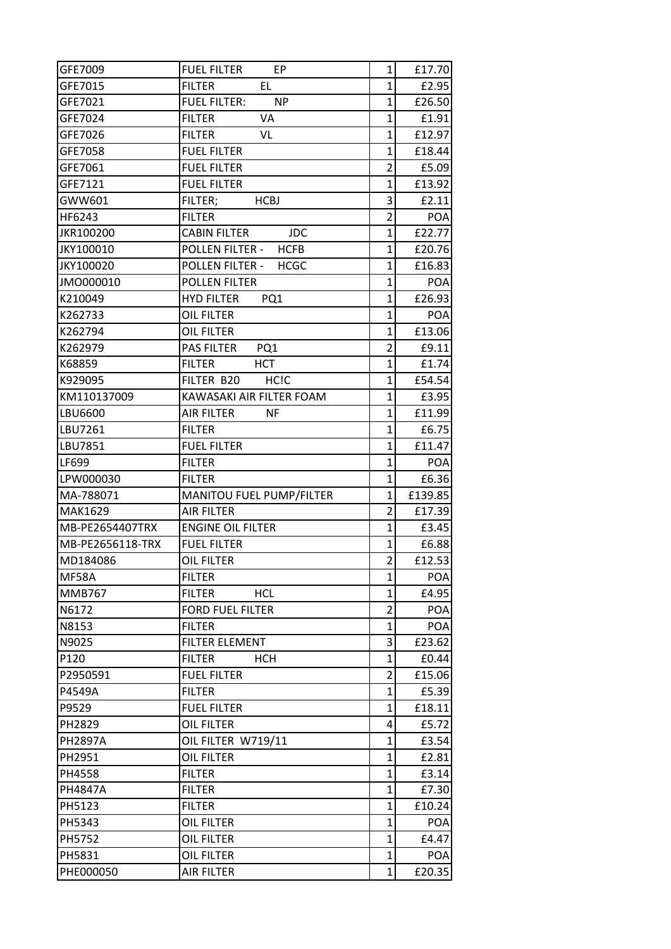| GFE7009          | <b>FUEL FILTER</b><br>EP              | $1\vert$       | £17.70           |
|------------------|---------------------------------------|----------------|------------------|
| GFE7015          | EL.<br><b>FILTER</b>                  | 1              | £2.95            |
| GFE7021          | <b>FUEL FILTER:</b><br><b>NP</b>      | $\overline{1}$ | £26.50           |
| GFE7024          | <b>FILTER</b><br>VA                   | 1              | f1.91            |
| GFE7026          | <b>FILTER</b><br>VL                   | $\mathbf 1$    | £12.97           |
| GFE7058          | <b>FUEL FILTER</b>                    | 1              | £18.44           |
| GFE7061          | <b>FUEL FILTER</b>                    | $\overline{2}$ | £5.09            |
| GFE7121          | <b>FUEL FILTER</b>                    | $\mathbf{1}$   | £13.92           |
| GWW601           | FILTER;<br><b>HCBJ</b>                | 3              | £2.11            |
| HF6243           | <b>FILTER</b>                         | $\overline{2}$ | POA              |
| JKR100200        | <b>JDC</b><br><b>CABIN FILTER</b>     | $\mathbf{1}$   | £22.77           |
| JKY100010        | <b>POLLEN FILTER -</b><br><b>HCFB</b> | $\mathbf{1}$   | £20.76           |
| JKY100020        | POLLEN FILTER -<br><b>HCGC</b>        | $\overline{1}$ | £16.83           |
| JMO000010        | POLLEN FILTER                         | $\mathbf{1}$   | POA              |
| K210049          | <b>HYD FILTER</b><br>PQ1              | $\mathbf{1}$   | £26.93           |
| K262733          | <b>OIL FILTER</b>                     | $\overline{1}$ | POA              |
| K262794          | <b>OIL FILTER</b>                     | $\overline{1}$ | £13.06           |
| K262979          | <b>PAS FILTER</b><br>PQ <sub>1</sub>  | $\overline{2}$ | E9.11            |
| K68859           | <b>FILTER</b><br><b>HCT</b>           | 1              | f1.74            |
| K929095          | FILTER B20<br>HC!C                    | $\mathbf{1}$   | £54.54           |
| KM110137009      | KAWASAKI AIR FILTER FOAM              | $\mathbf{1}$   | £3.95            |
| LBU6600          | <b>AIR FILTER</b><br>NF               | $\overline{1}$ | £11.99           |
| LBU7261          | <b>FILTER</b>                         | 1              | £6.75            |
| LBU7851          | <b>FUEL FILTER</b>                    | $\mathbf 1$    | £11.47           |
| LF699            | <b>FILTER</b>                         | $\overline{1}$ | POA              |
|                  |                                       |                |                  |
| LPW000030        | <b>FILTER</b>                         | $\mathbf{1}$   | £6.36            |
| MA-788071        | MANITOU FUEL PUMP/FILTER              | $\mathbf{1}$   | £139.85          |
| MAK1629          | <b>AIR FILTER</b>                     | $\overline{2}$ | £17.39           |
| MB-PE2654407TRX  | <b>ENGINE OIL FILTER</b>              | $\overline{1}$ | E3.45            |
| MB-PE2656118-TRX | <b>FUEL FILTER</b>                    | $\mathbf{1}$   | £6.88            |
| MD184086         | <b>OIL FILTER</b>                     | $\overline{2}$ |                  |
| <b>MF58A</b>     | <b>FILTER</b>                         | 1              | <b>POA</b>       |
| <b>MMB767</b>    | <b>HCL</b><br><b>FILTER</b>           | 1              | £4.95            |
| N6172            | <b>FORD FUEL FILTER</b>               | $\overline{2}$ | <b>POA</b>       |
| N8153            | <b>FILTER</b>                         | $\overline{1}$ | <b>POA</b>       |
| N9025            | <b>FILTER ELEMENT</b>                 | 3              | £12.53<br>£23.62 |
| P120             | <b>FILTER</b><br><b>HCH</b>           | 1              | £0.44            |
| P2950591         | <b>FUEL FILTER</b>                    | $\overline{2}$ | £15.06           |
| P4549A           | <b>FILTER</b>                         | $\mathbf{1}$   | £5.39            |
| P9529            | <b>FUEL FILTER</b>                    | $\mathbf{1}$   | £18.11           |
| PH2829           | <b>OIL FILTER</b>                     | 4              | £5.72            |
| <b>PH2897A</b>   | OIL FILTER W719/11                    | 1              | £3.54            |
| PH2951           | <b>OIL FILTER</b>                     | $\mathbf 1$    | £2.81            |
| PH4558           | <b>FILTER</b>                         | 1              | £3.14            |
| PH4847A          | <b>FILTER</b>                         | 1              | £7.30            |
| PH5123           | <b>FILTER</b>                         | 1              | £10.24           |
| PH5343           | <b>OIL FILTER</b>                     | $\mathbf{1}$   | <b>POA</b>       |
| PH5752           | <b>OIL FILTER</b>                     | $\overline{1}$ | £4.47            |
| PH5831           | <b>OIL FILTER</b>                     | 1              | POA              |